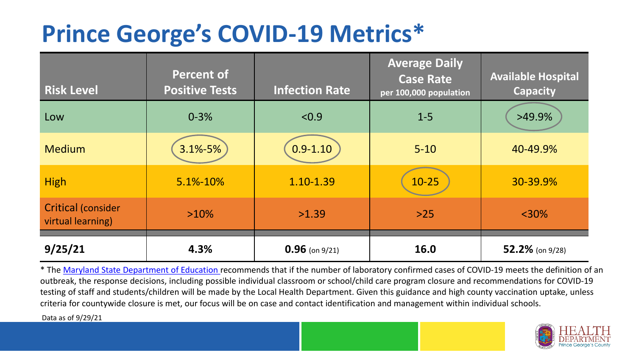## **Prince George's COVID-19 Metrics\***

| <b>Risk Level</b>                       | <b>Percent of</b><br><b>Positive Tests</b> | <b>Infection Rate</b> | <b>Average Daily</b><br><b>Case Rate</b><br>per 100,000 population | <b>Available Hospital</b><br><b>Capacity</b> |
|-----------------------------------------|--------------------------------------------|-----------------------|--------------------------------------------------------------------|----------------------------------------------|
| Low                                     | $0 - 3%$                                   | < 0.9                 | $1 - 5$                                                            | $>49.9\%$                                    |
| <b>Medium</b>                           | $3.1\% - 5\%$                              | $0.9 - 1.10$          | $5 - 10$                                                           | 40-49.9%                                     |
| <b>High</b>                             | 5.1%-10%                                   | 1.10-1.39             | $10 - 25$                                                          | 30-39.9%                                     |
| Critical (consider<br>virtual learning) | $>10\%$                                    | >1.39                 | $>25$                                                              | $<$ 30%                                      |
| 9/25/21                                 | 4.3%                                       | $0.96$ (on 9/21)      | 16.0                                                               | 52.2% (on $9/28$ )                           |

\* The [Maryland State Department of Education r](https://earlychildhood.marylandpublicschools.org/system/files/filedepot/3/covid_guidance_full_080420.pdf)ecommends that if the number of laboratory confirmed cases of COVID-19 meets the definition of an outbreak, the response decisions, including possible individual classroom or school/child care program closure and recommendations for COVID-19 testing of staff and students/children will be made by the Local Health Department. Given this guidance and high county vaccination uptake, unless criteria for countywide closure is met, our focus will be on case and contact identification and management within individual schools.

Data as of 9/29/21

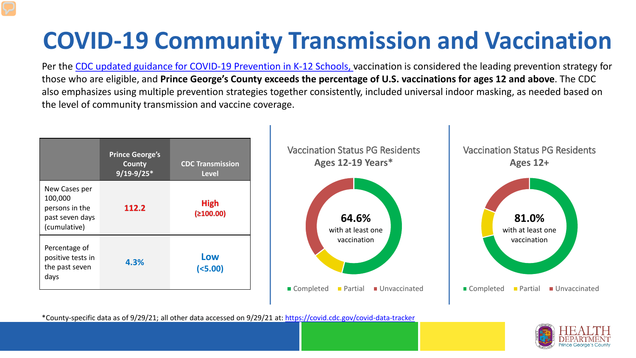# **COVID-19 Community Transmission and Vaccination**

Per the [CDC updated guidance for COVID-19 Prevention in K-12 Schools,](https://www.cdc.gov/coronavirus/2019-ncov/community/schools-childcare/k-12-guidance.html) vaccination is considered the leading prevention strategy for those who are eligible, and **Prince George's County exceeds the percentage of U.S. vaccinations for ages 12 and above**. The CDC also emphasizes using multiple prevention strategies together consistently, included universal indoor masking, as needed based on the level of community transmission and vaccine coverage.



\*County-specific data as of 9/29/21; all other data accessed on 9/29/21 at:<https://covid.cdc.gov/covid-data-tracker>

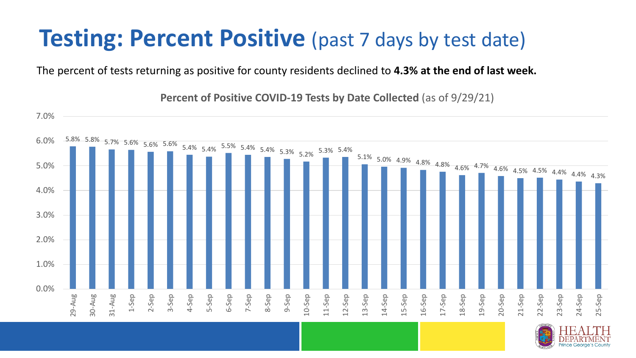### **Testing: Percent Positive** (past 7 days by test date)

The percent of tests returning as positive for county residents declined to **4.3% at the end of last week.**

5.8% 5.8% 5.7% 5.6% 5.6% 5.6% 5.4% 5.4% 5.5% 5.4% 5.4% 5.3% 5.2% 5.3% 5.4%  $5.1\%$  5.0% 4.9% 4.8% 4.8% 4.6% 4.7% 4.6% 4.5% 4.5% 4.4% 4.4% 4.3% 0.0% 1.0% 2.0% 3.0% 4.0% 5.0% 6.0% 7.0% 29-Aug 30-Aug 31-Aug 1-Sep 2-Sep 3-Sep 4-Sep 5-Sep 6-Sep 7-Sep 8-Sep 9-Sep 10-Sep 11-Sep 12-Sep 13-Sep 14-Sep 15-Sep 16-Sep 17-Sep 18-Sep 19-Sep 20-Sep 21-Sep 22-Sep 23-Sep 24-Sep 25-Sep

**Percent of Positive COVID-19 Tests by Date Collected** (as of 9/29/21)

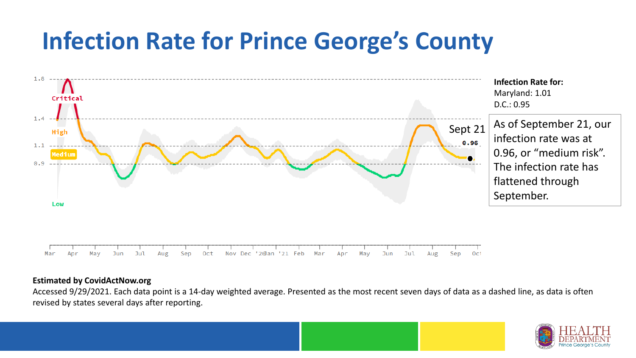## **Infection Rate for Prince George's County**



#### **Estimated by CovidActNow.org**

Accessed 9/29/2021. Each data point is a 14-day weighted average. Presented as the most recent seven days of data as a dashed line, as data is often revised by states several days after reporting.

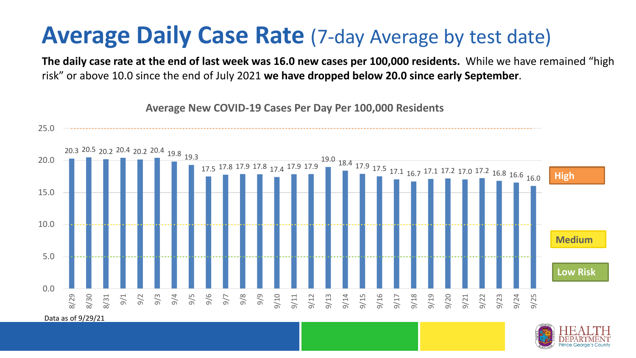#### **Average Daily Case Rate** (7-day Average by test date)

**The daily case rate at the end of last week was 16.0 new cases per 100,000 residents.** While we have remained "high risk" or above 10.0 since the end of July 2021 **we have dropped below 20.0 since early September**.



**Average New COVID-19 Cases Per Day Per 100,000 Residents**